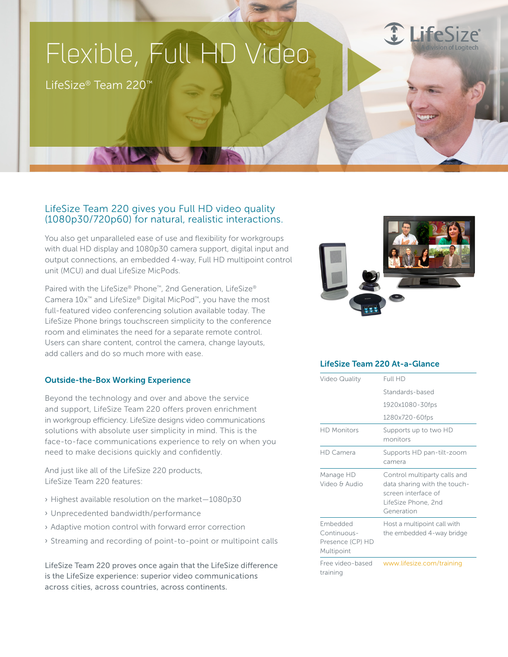# Flexible, Full HD Video

LifeSize® Team 220™

# LifeSize Team 220 gives you Full HD video quality (1080p30/720p60) for natural, realistic interactions.

**DOME** 

You also get unparalleled ease of use and flexibility for workgroups with dual HD display and 1080p30 camera support, digital input and output connections, an embedded 4-way, Full HD multipoint control unit (MCU) and dual LifeSize MicPods.

Paired with the LifeSize® Phone™, 2nd Generation, LifeSize® Camera 10x™ and LifeSize® Digital MicPod™, you have the most full-featured video conferencing solution available today. The LifeSize Phone brings touchscreen simplicity to the conference room and eliminates the need for a separate remote control. Users can share content, control the camera, change layouts, add callers and do so much more with ease.

# Outside-the-Box Working Experience

Beyond the technology and over and above the service and support, LifeSize Team 220 offers proven enrichment in workgroup efficiency. LifeSize designs video communications solutions with absolute user simplicity in mind. This is the face-to-face communications experience to rely on when you need to make decisions quickly and confidently.

And just like all of the LifeSize 220 products, LifeSize Team 220 features:

- › Highest available resolution on the market—1080p30
- › Unprecedented bandwidth/performance
- › Adaptive motion control with forward error correction
- › Streaming and recording of point-to-point or multipoint calls

LifeSize Team 220 proves once again that the LifeSize difference is the LifeSize experience: superior video communications across cities, across countries, across continents.



# LifeSize Team 220 At-a-Glance

| Video Quality                                             | Full HD                                                                                                                  |
|-----------------------------------------------------------|--------------------------------------------------------------------------------------------------------------------------|
|                                                           | Standards-based                                                                                                          |
|                                                           | 1920x1080-30fps                                                                                                          |
|                                                           | 1280x720-60fps                                                                                                           |
| <b>HD Monitors</b>                                        | Supports up to two HD<br>monitors                                                                                        |
| HD Camera                                                 | Supports HD pan-tilt-zoom<br>camera                                                                                      |
| Manage HD<br>Video & Audio                                | Control multiparty calls and<br>data sharing with the touch-<br>screen interface of<br>LifeSize Phone, 2nd<br>Generation |
| Embedded<br>Continuous-<br>Presence (CP) HD<br>Multipoint | Host a multipoint call with<br>the embedded 4-way bridge                                                                 |
|                                                           |                                                                                                                          |

training